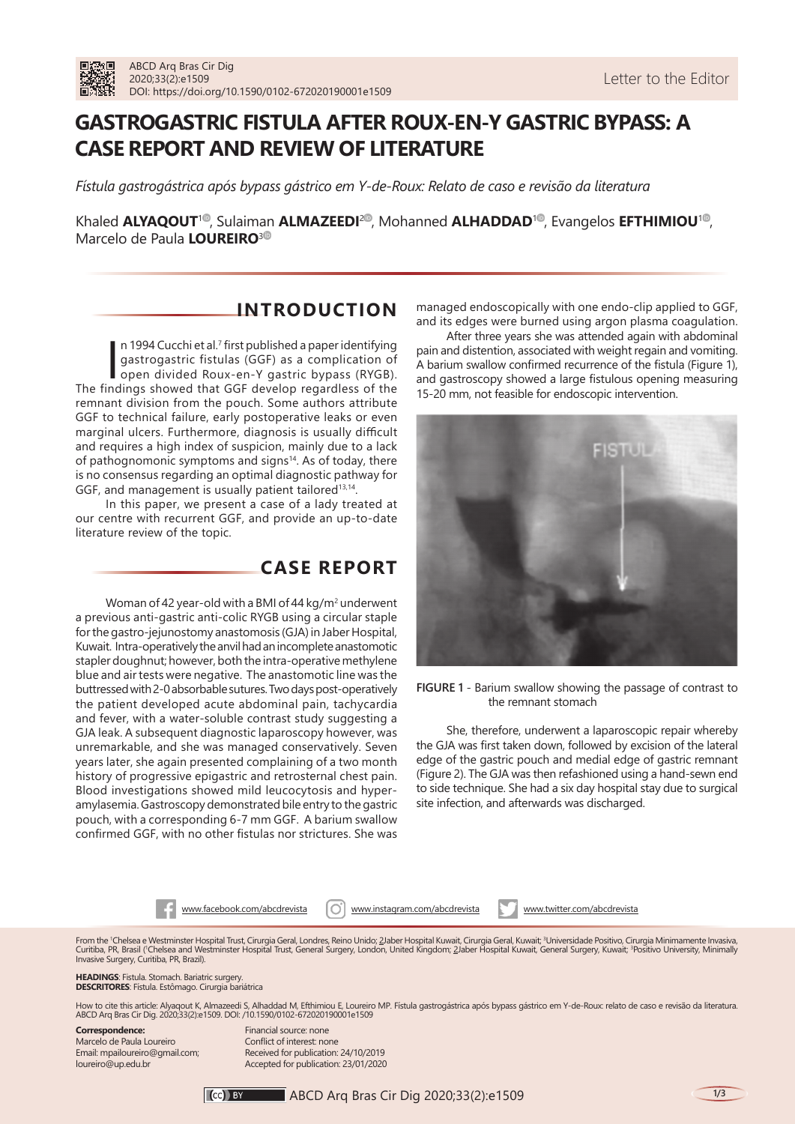# **GASTROGASTRIC FISTULA AFTER ROUX-EN-Y GASTRIC BYPASS: A CASE REPORT AND REVIEW OF LITERATURE**

*Fístula gastrogástrica após bypass gástrico em Y-de-Roux: Relato de caso e revisão da literatura*

Khaled **ALYAQOUT<sup>10</sup>[,](https://orcid.org/0000-0003-0411-6564) Sulaiman <b>ALMAZEEDI<sup>20</sup>[,](https://orcid.org/0000-0002-1918-321X) Mohanned <b>ALHADDAD**<sup>10</sup>, Evangelos **EFTHIMIOU**<sup>10</sup>, Marcelo de Paula **LOUREIRO**[3](https://orcid.org/0000-0001-9044-4534)

## **INTRODUCTION**

In 1994 Cucchi et al.<sup>7</sup> first published a paper identifying<br>gastrogastric fistulas (GGF) as a complication of<br>open divided Roux-en-Y gastric bypass (RYGB).<br>The findings showed that GGF develop regardless of the n 1994 Cucchi et al.<sup>7</sup> first published a paper identifying gastrogastric fistulas (GGF) as a complication of open divided Roux-en-Y gastric bypass (RYGB). remnant division from the pouch. Some authors attribute GGF to technical failure, early postoperative leaks or even marginal ulcers. Furthermore, diagnosis is usually difficult and requires a high index of suspicion, mainly due to a lack of pathognomonic symptoms and signs<sup>14</sup>. As of today, there is no consensus regarding an optimal diagnostic pathway for GGF, and management is usually patient tailored<sup>13,14</sup>.

In this paper, we present a case of a lady treated at our centre with recurrent GGF, and provide an up-to-date literature review of the topic.

## **CASE REPORT**

Woman of 42 year-old with a BMI of 44 kg/m<sup>2</sup> underwent a previous anti-gastric anti-colic RYGB using a circular staple for the gastro-jejunostomy anastomosis (GJA) in Jaber Hospital, Kuwait. Intra-operatively the anvil had an incomplete anastomotic stapler doughnut; however, both the intra-operative methylene blue and air tests were negative. The anastomotic line was the buttressed with 2-0 absorbable sutures. Two days post-operatively the patient developed acute abdominal pain, tachycardia and fever, with a water-soluble contrast study suggesting a GJA leak. A subsequent diagnostic laparoscopy however, was unremarkable, and she was managed conservatively. Seven years later, she again presented complaining of a two month history of progressive epigastric and retrosternal chest pain. Blood investigations showed mild leucocytosis and hyperamylasemia. Gastroscopy demonstrated bile entry to the gastric pouch, with a corresponding 6-7 mm GGF. A barium swallow confirmed GGF, with no other fistulas nor strictures. She was

managed endoscopically with one endo-clip applied to GGF, and its edges were burned using argon plasma coagulation.

After three years she was attended again with abdominal pain and distention, associated with weight regain and vomiting. A barium swallow confirmed recurrence of the fistula (Figure 1), and gastroscopy showed a large fistulous opening measuring 15-20 mm, not feasible for endoscopic intervention.



**FIGURE 1** - Barium swallow showing the passage of contrast to the remnant stomach

She, therefore, underwent a laparoscopic repair whereby the GJA was first taken down, followed by excision of the lateral edge of the gastric pouch and medial edge of gastric remnant (Figure 2). The GJA was then refashioned using a hand-sewn end to side technique. She had a six day hospital stay due to surgical site infection, and afterwards was discharged.

www.facebook.com/abcdrevista | O | www.instagram.com/abcdrevista www.twitter.com/abcdrevista

From the 'Chelsea e Westminster Hospital Trust, Cirurgia Geral, Londres, Reino Unido; 2Jaber Hospital Kuwait, Cirurgia Geral, Kuwait; ʾUniversidade Positivo, Cirurgia Minimamente Invasiva,<br>Curitiba, PR, Brasil ('Chelsea an

### **HEADINGS**: Fistula. Stomach. Bariatric surgery. **DESCRITORES**: Fístula. Estômago. Cirurgia bariátrica

How to cite this article: Alyaqout K, Almazeedi S, Alhaddad M, Efthimiou E, Loureiro MP. Fístula gastrogástrica após bypass gástrico em Y-de-Roux: relato de caso e revisão da literatura.<br>ABCD Arq Bras Cir Dig. 2020;33(2):e

**Correspondence:**  Marcelo de Paula Loureiro Email: mpailoureiro@gmail.com; loureiro@up.edu.br

Financial source: none Conflict of interest: none Received for publication: 24/10/2019 Accepted for publication: 23/01/2020

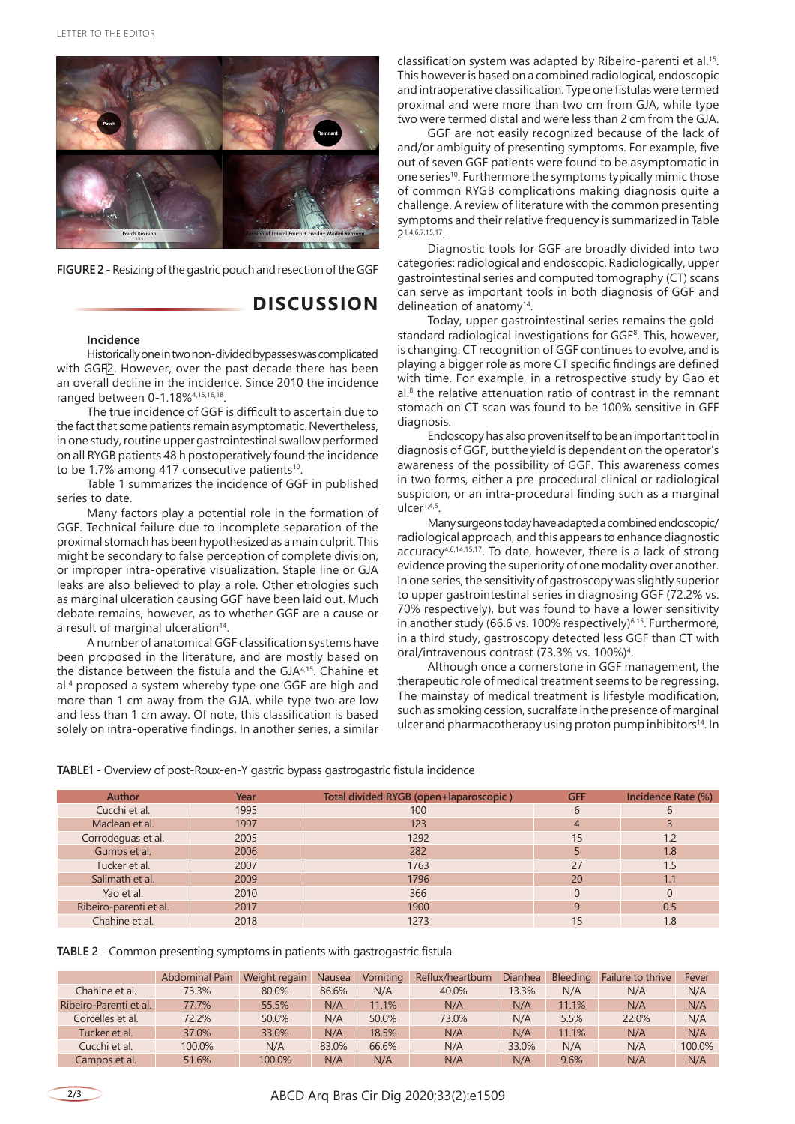

**FIGURE 2** - Resizing of the gastric pouch and resection of the GGF

### **DISCUSSION**

#### **Incidence**

Historically one in two non-divided bypasses was complicated with GGF<sup>2</sup>. However, over the past decade there has been an overall decline in the incidence. Since 2010 the incidence ranged between 0-1.18%4,15,16,18.

The true incidence of GGF is difficult to ascertain due to the fact that some patients remain asymptomatic. Nevertheless, in one study, routine upper gastrointestinal swallow performed on all RYGB patients 48 h postoperatively found the incidence to be 1.7% among 417 consecutive patients<sup>10</sup>.

Table 1 summarizes the incidence of GGF in published series to date.

Many factors play a potential role in the formation of GGF. Technical failure due to incomplete separation of the proximal stomach has been hypothesized as a main culprit. This might be secondary to false perception of complete division, or improper intra-operative visualization. Staple line or GJA leaks are also believed to play a role. Other etiologies such as marginal ulceration causing GGF have been laid out. Much debate remains, however, as to whether GGF are a cause or a result of marginal ulceration<sup>14</sup>.

A number of anatomical GGF classification systems have been proposed in the literature, and are mostly based on the distance between the fistula and the GJA4,15. Chahine et al. 4 proposed a system whereby type one GGF are high and more than 1 cm away from the GJA, while type two are low and less than 1 cm away. Of note, this classification is based solely on intra-operative findings. In another series, a similar classification system was adapted by Ribeiro-parenti et al.<sup>15</sup>. This however is based on a combined radiological, endoscopic and intraoperative classification. Type one fistulas were termed proximal and were more than two cm from GJA, while type two were termed distal and were less than 2 cm from the GJA.

GGF are not easily recognized because of the lack of and/or ambiguity of presenting symptoms. For example, five out of seven GGF patients were found to be asymptomatic in one series<sup>10</sup>. Furthermore the symptoms typically mimic those of common RYGB complications making diagnosis quite a challenge. A review of literature with the common presenting symptoms and their relative frequency is summarized in Table 21,4,6,7,15,17.

Diagnostic tools for GGF are broadly divided into two categories: radiological and endoscopic. Radiologically, upper gastrointestinal series and computed tomography (CT) scans can serve as important tools in both diagnosis of GGF and delineation of anatomy<sup>14</sup>.

Today, upper gastrointestinal series remains the goldstandard radiological investigations for GGF8 . This, however, is changing. CT recognition of GGF continues to evolve, and is playing a bigger role as more CT specific findings are defined with time. For example, in a retrospective study by Gao et al. 8 the relative attenuation ratio of contrast in the remnant stomach on CT scan was found to be 100% sensitive in GFF diagnosis.

Endoscopy has also proven itself to be an important tool in diagnosis of GGF, but the yield is dependent on the operator's awareness of the possibility of GGF. This awareness comes in two forms, either a pre-procedural clinical or radiological suspicion, or an intra-procedural finding such as a marginal ulcer1,4,5.

Many surgeons today have adapted a combined endoscopic/ radiological approach, and this appears to enhance diagnostic accuracy4,6,14,15,17. To date, however, there is a lack of strong evidence proving the superiority of one modality over another. In one series, the sensitivity of gastroscopy was slightly superior to upper gastrointestinal series in diagnosing GGF (72.2% vs. 70% respectively), but was found to have a lower sensitivity in another study (66.6 vs. 100% respectively)<sup>6,15</sup>. Furthermore, in a third study, gastroscopy detected less GGF than CT with oral/intravenous contrast (73.3% vs. 100%)4 .

Although once a cornerstone in GGF management, the therapeutic role of medical treatment seems to be regressing. The mainstay of medical treatment is lifestyle modification, such as smoking cession, sucralfate in the presence of marginal ulcer and pharmacotherapy using proton pump inhibitors<sup>14</sup>. In

**TABLE1** - Overview of post-Roux-en-Y gastric bypass gastrogastric fistula incidence

| <b>Author</b>          | Year | Total divided RYGB (open+laparoscopic) | <b>GFF</b> | Incidence Rate (%) |
|------------------------|------|----------------------------------------|------------|--------------------|
| Cucchi et al.          | 1995 | 100                                    |            | 6                  |
| Maclean et al.         | 1997 | 123                                    |            |                    |
| Corrodeguas et al.     | 2005 | 1292                                   | 15         | 1.2                |
| Gumbs et al.           | 2006 | 282                                    |            | 1.8                |
| Tucker et al.          | 2007 | 1763                                   | 27         | 1.5                |
| Salimath et al.        | 2009 | 1796                                   | 20         | 1.1                |
| Yao et al.             | 2010 | 366                                    |            | 0                  |
| Ribeiro-parenti et al. | 2017 | 1900                                   | a          | 0.5                |
| Chahine et al.         | 2018 | 1273                                   |            | 1.8                |

| <b>TABLE 2</b> - Common presenting symptoms in patients with gastrogastric fistula |  |  |  |
|------------------------------------------------------------------------------------|--|--|--|
|                                                                                    |  |  |  |

|                        | Abdominal Pain | Weight regain | Nausea | Vomiting | Reflux/heartburn | Diarrhea | <b>Bleeding</b> | Failure to thrive | Fever  |
|------------------------|----------------|---------------|--------|----------|------------------|----------|-----------------|-------------------|--------|
| Chahine et al.         | 73.3%          | 80.0%         | 86.6%  | N/A      | 40.0%            | 13.3%    | N/A             | N/A               | N/A    |
| Ribeiro-Parenti et al. | 77.7%          | 55.5%         | N/A    | 11.1%    | N/A              | N/A      | 11.1%           | N/A               | N/A    |
| Corcelles et al.       | 72.2%          | 50.0%         | N/A    | 50.0%    | 73.0%            | N/A      | 5.5%            | 22.0%             | N/A    |
| Tucker et al.          | 37.0%          | 33.0%         | N/A    | 18.5%    | N/A              | N/A      | 11.1%           | N/A               | N/A    |
| Cucchi et al.          | 100.0%         | N/A           | 83.0%  | 66.6%    | N/A              | 33.0%    | N/A             | N/A               | 100.0% |
| Campos et al.          | 51.6%          | 100.0%        | N/A    | N/A      | N/A              | N/A      | 9.6%            | N/A               | N/A    |